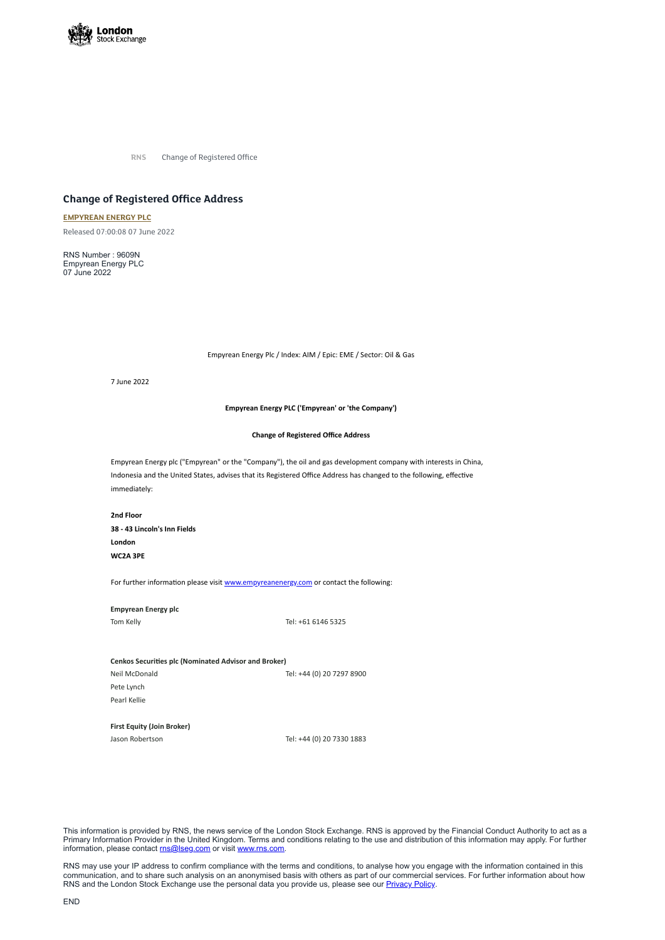

**RNS** Change of Registered Office

# **Change of Registered Office Address**

### **[EMPYREAN](https://www.londonstockexchange.com/stock/EME/empyrean-energy-plc) ENERGY PLC**

Released 07:00:08 07 June 2022

RNS Number : 9609N Empyrean Energy PLC 07 June 2022

Empyrean Energy Plc / Index: AIM / Epic: EME / Sector: Oil & Gas

7 June 2022

**Empyrean Energy PLC ('Empyrean' or 'the Company')**

#### **Change of Registered Office Address**

Empyrean Energy plc ("Empyrean" or the "Company"), the oil and gas development company with interests in China, Indonesia and the United States, advises that its Registered Office Address has changed to the following, effective immediately:

This information is provided by RNS, the news service of the London Stock Exchange. RNS is approved by the Financial Conduct Authority to act as a Primary Information Provider in the United Kingdom. Terms and conditions relating to the use and distribution of this information may apply. For further information, please contact [rns@lseg.com](mailto:rns@lseg.com) or visit [www.rns.com.](http://www.rns.com/)

**2nd Floor 38 - 43 Lincoln's Inn Fields London WC2A 3PE**

For further information please visit [www.empyreanenergy.com](http://www.empyreanenergy.com/) or contact the following:

RNS may use your IP address to confirm compliance with the terms and conditions, to analyse how you engage with the information contained in this communication, and to share such analysis on an anonymised basis with others as part of our commercial services. For further information about how RNS and the London Stock Exchange use the personal data you provide us, please see our **[Privacy](https://www.lseg.com/privacy-and-cookie-policy) Policy**.

## **Empyrean Energy plc**

Tom Kelly Tel: +61 6146 5325

#### **Cenkos Securities plc (Nominated Advisor and Broker)**

Neil McDonald Tel: +44 (0) 20 7297 8900

Pete Lynch Pearl Kellie

**First Equity (Join Broker)**

Jason Robertson Tel: +44 (0) 20 7330 1883

END